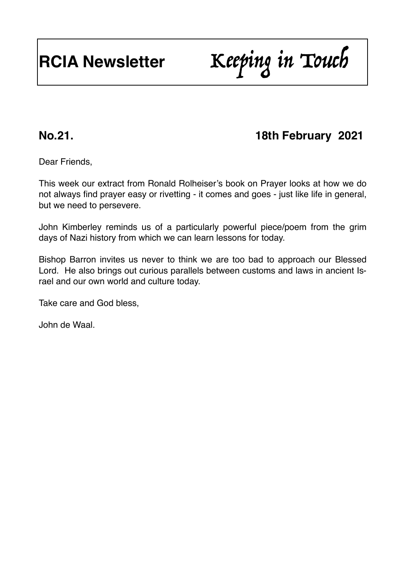# **RCIA Newsletter** Keeping in Touch

## **No.21. 18th February 2021**

Dear Friends,

This week our extract from Ronald Rolheiser's book on Prayer looks at how we do not always find prayer easy or rivetting - it comes and goes - just like life in general, but we need to persevere.

John Kimberley reminds us of a particularly powerful piece/poem from the grim days of Nazi history from which we can learn lessons for today.

Bishop Barron invites us never to think we are too bad to approach our Blessed Lord. He also brings out curious parallels between customs and laws in ancient Israel and our own world and culture today.

Take care and God bless,

John de Waal.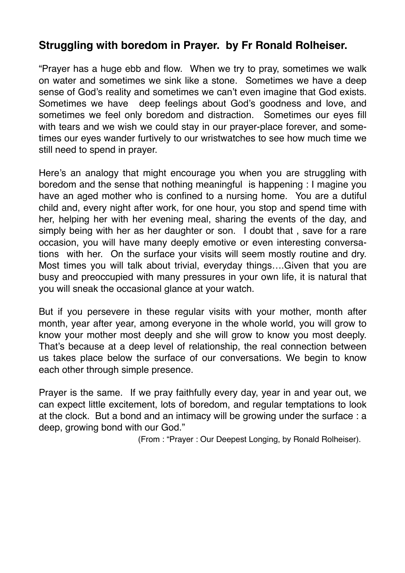#### **Struggling with boredom in Prayer. by Fr Ronald Rolheiser.**

"Prayer has a huge ebb and flow. When we try to pray, sometimes we walk on water and sometimes we sink like a stone. Sometimes we have a deep sense of God's reality and sometimes we can't even imagine that God exists. Sometimes we have deep feelings about God's goodness and love, and sometimes we feel only boredom and distraction. Sometimes our eyes fill with tears and we wish we could stay in our prayer-place forever, and sometimes our eyes wander furtively to our wristwatches to see how much time we still need to spend in prayer.

Here's an analogy that might encourage you when you are struggling with boredom and the sense that nothing meaningful is happening : I magine you have an aged mother who is confined to a nursing home. You are a dutiful child and, every night after work, for one hour, you stop and spend time with her, helping her with her evening meal, sharing the events of the day, and simply being with her as her daughter or son. I doubt that , save for a rare occasion, you will have many deeply emotive or even interesting conversations with her. On the surface your visits will seem mostly routine and dry. Most times you will talk about trivial, everyday things….Given that you are busy and preoccupied with many pressures in your own life, it is natural that you will sneak the occasional glance at your watch.

But if you persevere in these regular visits with your mother, month after month, year after year, among everyone in the whole world, you will grow to know your mother most deeply and she will grow to know you most deeply. That's because at a deep level of relationship, the real connection between us takes place below the surface of our conversations. We begin to know each other through simple presence.

Prayer is the same. If we pray faithfully every day, year in and year out, we can expect little excitement, lots of boredom, and regular temptations to look at the clock. But a bond and an intimacy will be growing under the surface : a deep, growing bond with our God."

(From : "Prayer : Our Deepest Longing, by Ronald Rolheiser).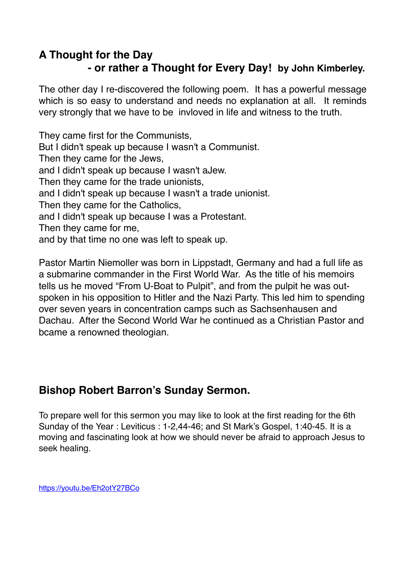#### **A Thought for the Day - or rather a Thought for Every Day! by John Kimberley.**

The other day I re-discovered the following poem. It has a powerful message which is so easy to understand and needs no explanation at all. It reminds very strongly that we have to be invloved in life and witness to the truth.

They came first for the Communists, But I didn't speak up because I wasn't a Communist. Then they came for the Jews, and I didn't speak up because I wasn't aJew. Then they came for the trade unionists, and I didn't speak up because I wasn't a trade unionist. Then they came for the Catholics, and I didn't speak up because I was a Protestant. Then they came for me, and by that time no one was left to speak up.

Pastor Martin Niemoller was born in Lippstadt, Germany and had a full life as a submarine commander in the First World War. As the title of his memoirs tells us he moved "From U-Boat to Pulpit", and from the pulpit he was outspoken in his opposition to Hitler and the Nazi Party. This led him to spending over seven years in concentration camps such as Sachsenhausen and Dachau. After the Second World War he continued as a Christian Pastor and bcame a renowned theologian.

### **Bishop Robert Barron's Sunday Sermon.**

To prepare well for this sermon you may like to look at the first reading for the 6th Sunday of the Year : Leviticus : 1-2,44-46; and St Mark's Gospel, 1:40-45. It is a moving and fascinating look at how we should never be afraid to approach Jesus to seek healing.

<https://youtu.be/Eh2otY27BCo>